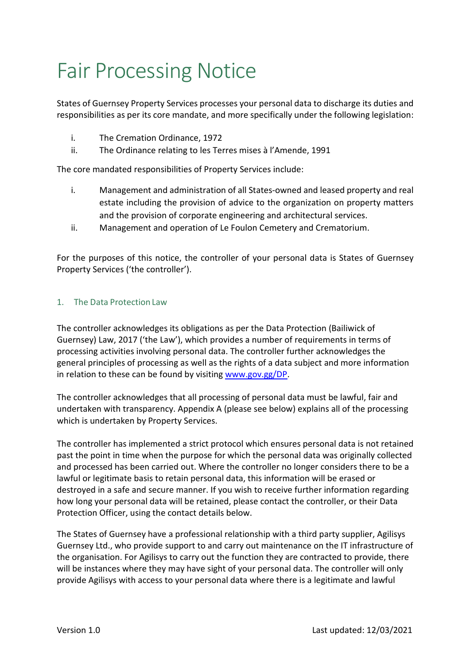## Fair Processing Notice

States of Guernsey Property Services processes your personal data to discharge its duties and responsibilities as per its core mandate, and more specifically under the following legislation:

- i. The Cremation Ordinance, 1972
- ii. The Ordinance relating to les Terres mises à l'Amende, 1991

The core mandated responsibilities of Property Services include:

- i. Management and administration of all States-owned and leased property and real estate including the provision of advice to the organization on property matters and the provision of corporate engineering and architectural services.
- ii. Management and operation of Le Foulon Cemetery and Crematorium.

For the purposes of this notice, the controller of your personal data is States of Guernsey Property Services ('the controller').

## 1. The Data Protection Law

The controller acknowledges its obligations as per the Data Protection (Bailiwick of Guernsey) Law, 2017 ('the Law'), which provides a number of requirements in terms of processing activities involving personal data. The controller further acknowledges the general principles of processing as well as the rights of a data subject and more information in relation to these can be found by visiting www.gov.gg/DP.

The controller acknowledges that all processing of personal data must be lawful, fair and undertaken with transparency. Appendix A (please see below) explains all of the processing which is undertaken by Property Services.

The controller has implemented a strict protocol which ensures personal data is not retained past the point in time when the purpose for which the personal data was originally collected and processed has been carried out. Where the controller no longer considers there to be a lawful or legitimate basis to retain personal data, this information will be erased or destroyed in a safe and secure manner. If you wish to receive further information regarding how long your personal data will be retained, please contact the controller, or their Data Protection Officer, using the contact details below.

The States of Guernsey have a professional relationship with a third party supplier, Agilisys Guernsey Ltd., who provide support to and carry out maintenance on the IT infrastructure of the organisation. For Agilisys to carry out the function they are contracted to provide, there will be instances where they may have sight of your personal data. The controller will only provide Agilisys with access to your personal data where there is a legitimate and lawful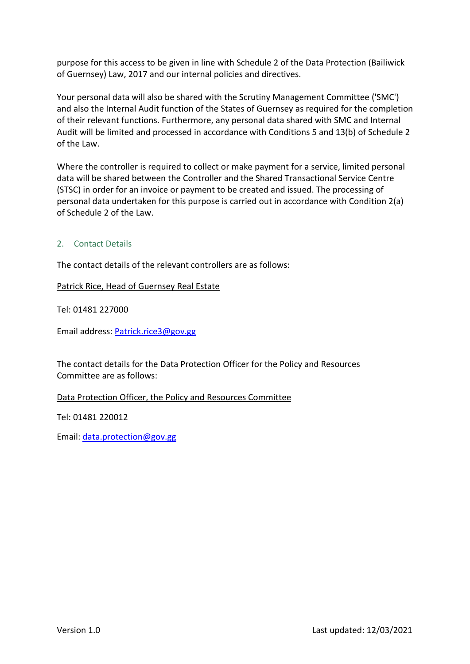purpose for this access to be given in line with Schedule 2 of the Data Protection (Bailiwick of Guernsey) Law, 2017 and our internal policies and directives.

Your personal data will also be shared with the Scrutiny Management Committee ('SMC') and also the Internal Audit function of the States of Guernsey as required for the completion of their relevant functions. Furthermore, any personal data shared with SMC and Internal Audit will be limited and processed in accordance with Conditions 5 and 13(b) of Schedule 2 of the Law.

Where the controller is required to collect or make payment for a service, limited personal data will be shared between the Controller and the Shared Transactional Service Centre (STSC) in order for an invoice or payment to be created and issued. The processing of personal data undertaken for this purpose is carried out in accordance with Condition 2(a) of Schedule 2 of the Law.

## 2. Contact Details

The contact details of the relevant controllers are as follows:

Patrick Rice, Head of Guernsey Real Estate

Tel: 01481 227000

Email address: Patrick.rice3@gov.gg

The contact details for the Data Protection Officer for the Policy and Resources Committee are as follows:

Data Protection Officer, the Policy and Resources Committee

Tel: 01481 220012

Email: data.protection@gov.gg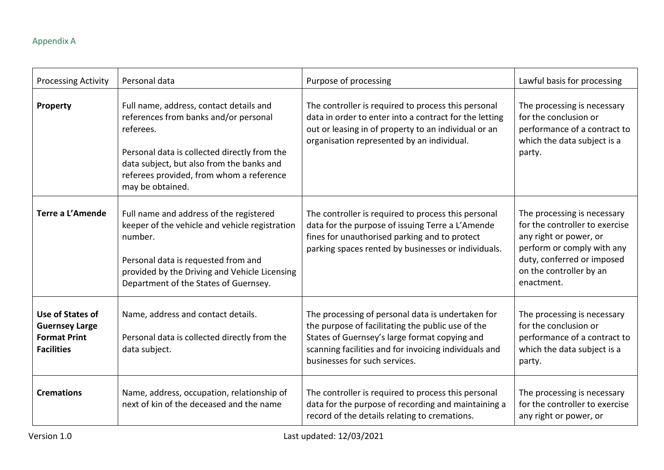## Appendix A

| <b>Processing Activity</b>                                                            | Personal data                                                                                                                                                                                                                                              | Purpose of processing                                                                                                                                                                                                                             | Lawful basis for processing                                                                                                                                                                  |
|---------------------------------------------------------------------------------------|------------------------------------------------------------------------------------------------------------------------------------------------------------------------------------------------------------------------------------------------------------|---------------------------------------------------------------------------------------------------------------------------------------------------------------------------------------------------------------------------------------------------|----------------------------------------------------------------------------------------------------------------------------------------------------------------------------------------------|
| Property                                                                              | Full name, address, contact details and<br>references from banks and/or personal<br>referees.<br>Personal data is collected directly from the<br>data subject, but also from the banks and<br>referees provided, from whom a reference<br>may be obtained. | The controller is required to process this personal<br>data in order to enter into a contract for the letting<br>out or leasing in of property to an individual or an<br>organisation represented by an individual.                               | The processing is necessary<br>for the conclusion or<br>performance of a contract to<br>which the data subject is a<br>party.                                                                |
| Terre a L'Amende                                                                      | Full name and address of the registered<br>keeper of the vehicle and vehicle registration<br>number.<br>Personal data is requested from and<br>provided by the Driving and Vehicle Licensing<br>Department of the States of Guernsey.                      | The controller is required to process this personal<br>data for the purpose of issuing Terre a L'Amende<br>fines for unauthorised parking and to protect<br>parking spaces rented by businesses or individuals.                                   | The processing is necessary<br>for the controller to exercise<br>any right or power, or<br>perform or comply with any<br>duty, conferred or imposed<br>on the controller by an<br>enactment. |
| Use of States of<br><b>Guernsey Large</b><br><b>Format Print</b><br><b>Facilities</b> | Name, address and contact details.<br>Personal data is collected directly from the<br>data subject.                                                                                                                                                        | The processing of personal data is undertaken for<br>the purpose of facilitating the public use of the<br>States of Guernsey's large format copying and<br>scanning facilities and for invoicing individuals and<br>businesses for such services. | The processing is necessary<br>for the conclusion or<br>performance of a contract to<br>which the data subject is a<br>party.                                                                |
| <b>Cremations</b>                                                                     | Name, address, occupation, relationship of<br>next of kin of the deceased and the name                                                                                                                                                                     | The controller is required to process this personal<br>data for the purpose of recording and maintaining a<br>record of the details relating to cremations.                                                                                       | The processing is necessary<br>for the controller to exercise<br>any right or power, or                                                                                                      |